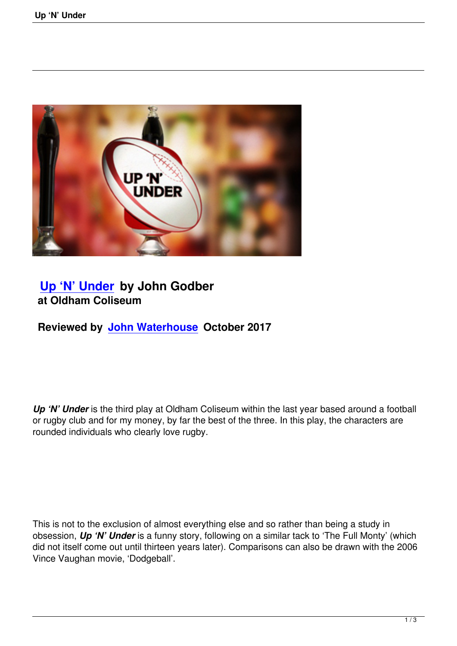

# **Up 'N' Under by John Godber at Oldham Coliseum**

**[Reviewed by Jo](up-n-under.html)hn Waterhouse October 2017**

*Up 'N' Under* is the third play at Oldham Coliseum within the last year based around a football or rugby club and for my money, by far the best of the three. In this play, the characters are rounded individuals who clearly love rugby.

This is not to the exclusion of almost everything else and so rather than being a study in obsession, *Up 'N' Under* is a funny story, following on a similar tack to 'The Full Monty' (which did not itself come out until thirteen years later). Comparisons can also be drawn with the 2006 Vince Vaughan movie, 'Dodgeball'.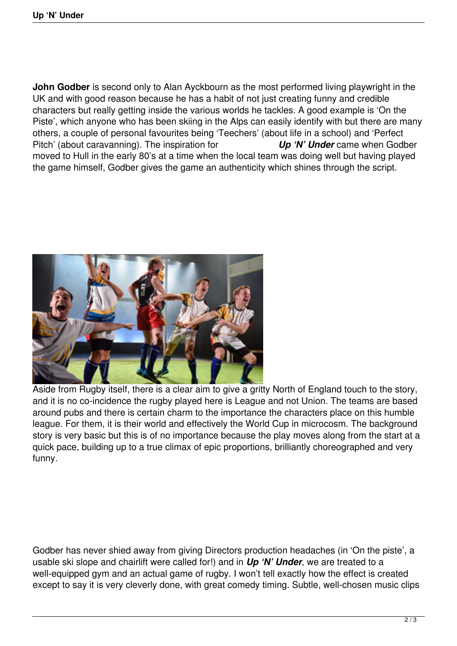**John Godber** is second only to Alan Ayckbourn as the most performed living playwright in the UK and with good reason because he has a habit of not just creating funny and credible characters but really getting inside the various worlds he tackles. A good example is 'On the Piste', which anyone who has been skiing in the Alps can easily identify with but there are many others, a couple of personal favourites being 'Teechers' (about life in a school) and 'Perfect Pitch' (about caravanning). The inspiration for *Up 'N' Under* came when Godber moved to Hull in the early 80's at a time when the local team was doing well but having played the game himself, Godber gives the game an authenticity which shines through the script.



Aside from Rugby itself, there is a clear aim to give a gritty North of England touch to the story, and it is no co-incidence the rugby played here is League and not Union. The teams are based around pubs and there is certain charm to the importance the characters place on this humble league. For them, it is their world and effectively the World Cup in microcosm. The background story is very basic but this is of no importance because the play moves along from the start at a quick pace, building up to a true climax of epic proportions, brilliantly choreographed and very funny.

Godber has never shied away from giving Directors production headaches (in 'On the piste', a usable ski slope and chairlift were called for!) and in *Up 'N' Under*, we are treated to a well-equipped gym and an actual game of rugby. I won't tell exactly how the effect is created except to say it is very cleverly done, with great comedy timing. Subtle, well-chosen music clips